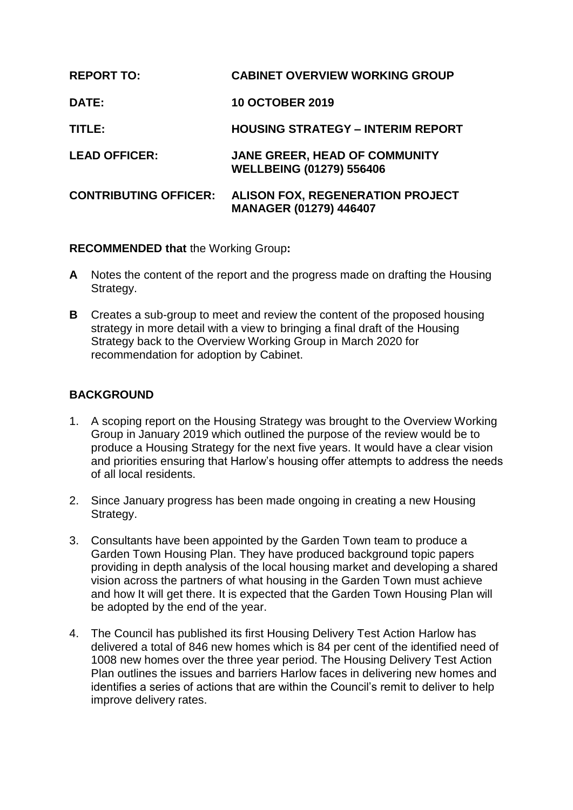| <b>REPORT TO:</b>            | <b>CABINET OVERVIEW WORKING GROUP</b>                                    |
|------------------------------|--------------------------------------------------------------------------|
| DATE:                        | <b>10 OCTOBER 2019</b>                                                   |
| TITLE:                       | <b>HOUSING STRATEGY - INTERIM REPORT</b>                                 |
| <b>LEAD OFFICER:</b>         | <b>JANE GREER, HEAD OF COMMUNITY</b><br><b>WELLBEING (01279) 556406</b>  |
| <b>CONTRIBUTING OFFICER:</b> | <b>ALISON FOX, REGENERATION PROJECT</b><br><b>MANAGER (01279) 446407</b> |

## **RECOMMENDED that** the Working Group**:**

- **A** Notes the content of the report and the progress made on drafting the Housing Strategy.
- **B** Creates a sub-group to meet and review the content of the proposed housing strategy in more detail with a view to bringing a final draft of the Housing Strategy back to the Overview Working Group in March 2020 for recommendation for adoption by Cabinet.

## **BACKGROUND**

- 1. A scoping report on the Housing Strategy was brought to the Overview Working Group in January 2019 which outlined the purpose of the review would be to produce a Housing Strategy for the next five years. It would have a clear vision and priorities ensuring that Harlow's housing offer attempts to address the needs of all local residents.
- 2. Since January progress has been made ongoing in creating a new Housing Strategy.
- 3. Consultants have been appointed by the Garden Town team to produce a Garden Town Housing Plan. They have produced background topic papers providing in depth analysis of the local housing market and developing a shared vision across the partners of what housing in the Garden Town must achieve and how It will get there. It is expected that the Garden Town Housing Plan will be adopted by the end of the year.
- 4. The Council has published its first Housing Delivery Test Action Harlow has delivered a total of 846 new homes which is 84 per cent of the identified need of 1008 new homes over the three year period. The Housing Delivery Test Action Plan outlines the issues and barriers Harlow faces in delivering new homes and identifies a series of actions that are within the Council's remit to deliver to help improve delivery rates.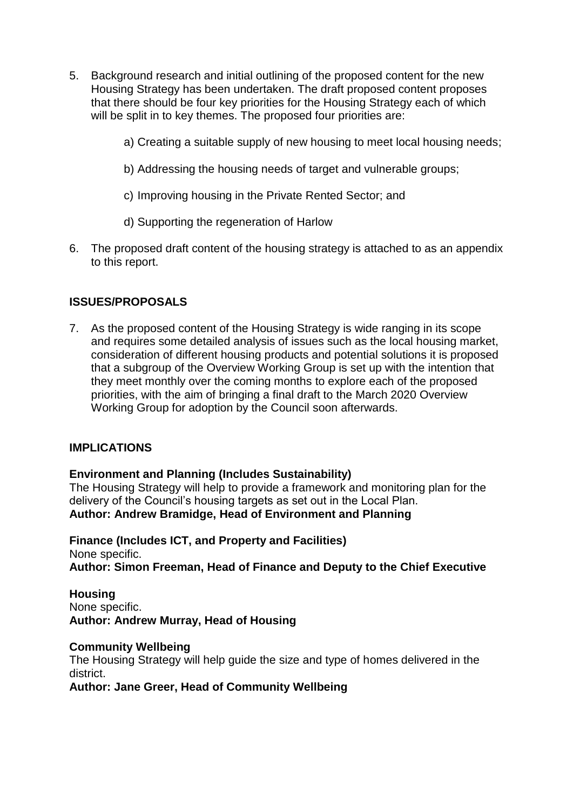- 5. Background research and initial outlining of the proposed content for the new Housing Strategy has been undertaken. The draft proposed content proposes that there should be four key priorities for the Housing Strategy each of which will be split in to key themes. The proposed four priorities are:
	- a) Creating a suitable supply of new housing to meet local housing needs;
	- b) Addressing the housing needs of target and vulnerable groups;
	- c) Improving housing in the Private Rented Sector; and
	- d) Supporting the regeneration of Harlow
- 6. The proposed draft content of the housing strategy is attached to as an appendix to this report.

## **ISSUES/PROPOSALS**

7. As the proposed content of the Housing Strategy is wide ranging in its scope and requires some detailed analysis of issues such as the local housing market, consideration of different housing products and potential solutions it is proposed that a subgroup of the Overview Working Group is set up with the intention that they meet monthly over the coming months to explore each of the proposed priorities, with the aim of bringing a final draft to the March 2020 Overview Working Group for adoption by the Council soon afterwards.

#### **IMPLICATIONS**

**Environment and Planning (Includes Sustainability)**

The Housing Strategy will help to provide a framework and monitoring plan for the delivery of the Council's housing targets as set out in the Local Plan. **Author: Andrew Bramidge, Head of Environment and Planning**

**Finance (Includes ICT, and Property and Facilities)** None specific. **Author: Simon Freeman, Head of Finance and Deputy to the Chief Executive**

#### **Housing**

None specific. **Author: Andrew Murray, Head of Housing**

#### **Community Wellbeing**

The Housing Strategy will help guide the size and type of homes delivered in the district.

**Author: Jane Greer, Head of Community Wellbeing**